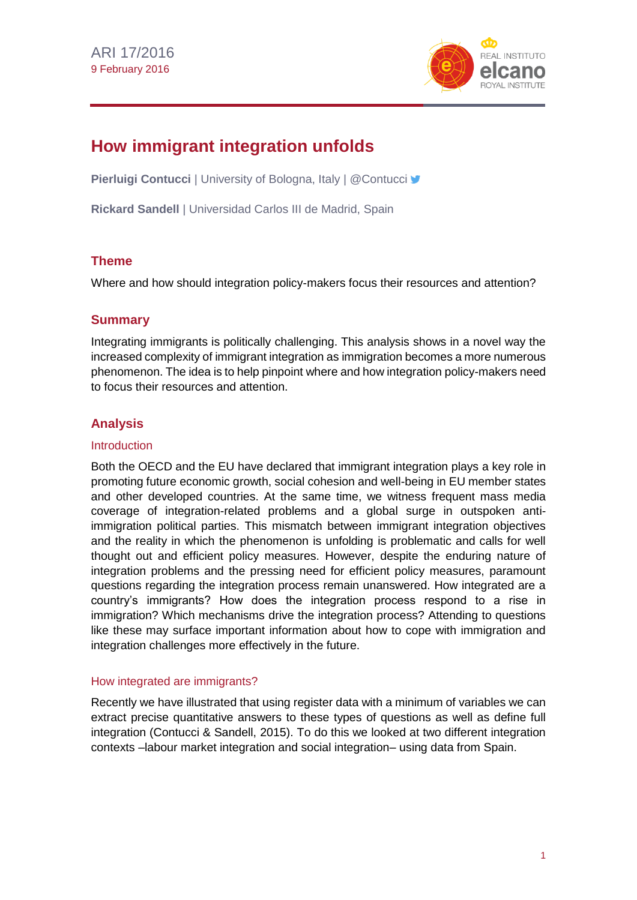

# **How immigrant integration unfolds**

**Pierluigi Contucci** | University of Bologna, Italy | @Contucci **y** 

**Rickard Sandell** | Universidad Carlos III de Madrid, Spain

## **Theme**

Where and how should integration policy-makers focus their resources and attention?

## **Summary**

Integrating immigrants is politically challenging. This analysis shows in a novel way the increased complexity of immigrant integration as immigration becomes a more numerous phenomenon. The idea is to help pinpoint where and how integration policy-makers need to focus their resources and attention.

# **Analysis**

#### **Introduction**

Both the OECD and the EU have declared that immigrant integration plays a key role in promoting future economic growth, social cohesion and well-being in EU member states and other developed countries. At the same time, we witness frequent mass media coverage of integration-related problems and a global surge in outspoken antiimmigration political parties. This mismatch between immigrant integration objectives and the reality in which the phenomenon is unfolding is problematic and calls for well thought out and efficient policy measures. However, despite the enduring nature of integration problems and the pressing need for efficient policy measures, paramount questions regarding the integration process remain unanswered. How integrated are a country's immigrants? How does the integration process respond to a rise in immigration? Which mechanisms drive the integration process? Attending to questions like these may surface important information about how to cope with immigration and integration challenges more effectively in the future.

#### How integrated are immigrants?

Recently we have illustrated that using register data with a minimum of variables we can extract precise quantitative answers to these types of questions as well as define full integration (Contucci & Sandell, 2015). To do this we looked at two different integration contexts –labour market integration and social integration– using data from Spain.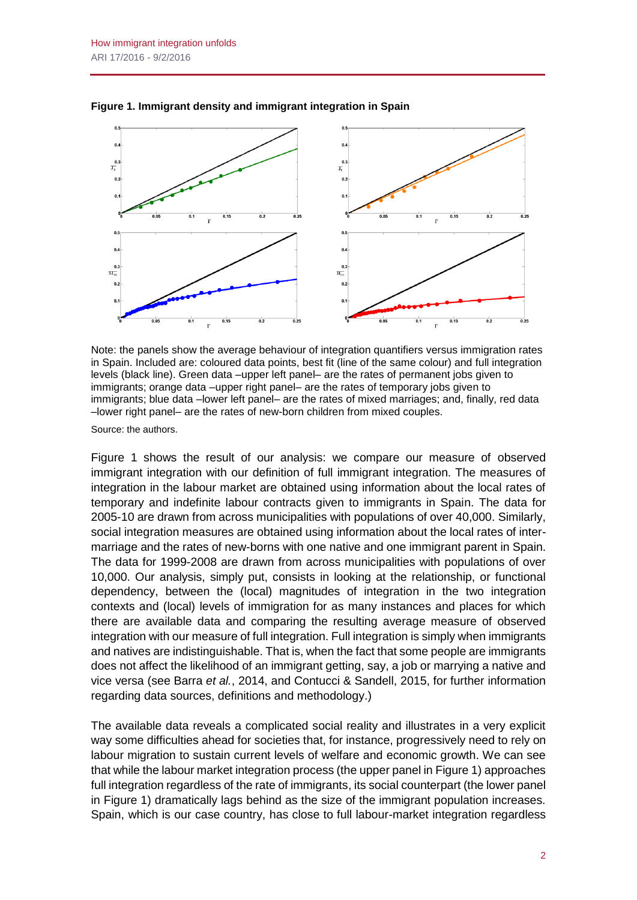

**Figure 1. Immigrant density and immigrant integration in Spain**

Note: the panels show the average behaviour of integration quantifiers versus immigration rates in Spain. Included are: coloured data points, best fit (line of the same colour) and full integration levels (black line). Green data –upper left panel– are the rates of permanent jobs given to immigrants; orange data –upper right panel– are the rates of temporary jobs given to immigrants; blue data –lower left panel– are the rates of mixed marriages; and, finally, red data –lower right panel– are the rates of new-born children from mixed couples.

Source: the authors.

Figure 1 shows the result of our analysis: we compare our measure of observed immigrant integration with our definition of full immigrant integration. The measures of integration in the labour market are obtained using information about the local rates of temporary and indefinite labour contracts given to immigrants in Spain. The data for 2005-10 are drawn from across municipalities with populations of over 40,000. Similarly, social integration measures are obtained using information about the local rates of intermarriage and the rates of new-borns with one native and one immigrant parent in Spain. The data for 1999-2008 are drawn from across municipalities with populations of over 10,000. Our analysis, simply put, consists in looking at the relationship, or functional dependency, between the (local) magnitudes of integration in the two integration contexts and (local) levels of immigration for as many instances and places for which there are available data and comparing the resulting average measure of observed integration with our measure of full integration. Full integration is simply when immigrants and natives are indistinguishable. That is, when the fact that some people are immigrants does not affect the likelihood of an immigrant getting, say, a job or marrying a native and vice versa (see Barra *et al.*, 2014, and Contucci & Sandell, 2015, for further information regarding data sources, definitions and methodology.)

The available data reveals a complicated social reality and illustrates in a very explicit way some difficulties ahead for societies that, for instance, progressively need to rely on labour migration to sustain current levels of welfare and economic growth. We can see that while the labour market integration process (the upper panel in Figure 1) approaches full integration regardless of the rate of immigrants, its social counterpart (the lower panel in Figure 1) dramatically lags behind as the size of the immigrant population increases. Spain, which is our case country, has close to full labour-market integration regardless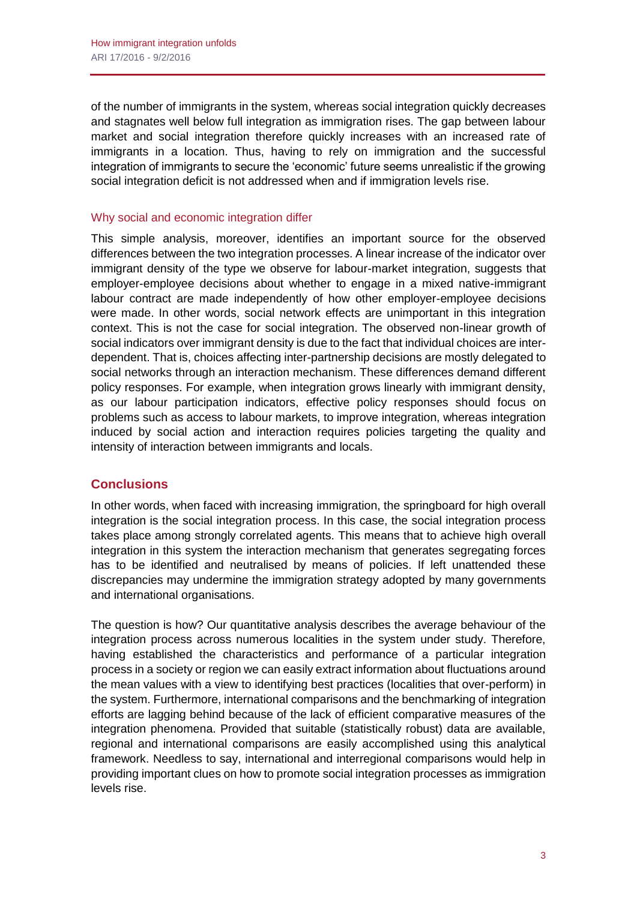of the number of immigrants in the system, whereas social integration quickly decreases and stagnates well below full integration as immigration rises. The gap between labour market and social integration therefore quickly increases with an increased rate of immigrants in a location. Thus, having to rely on immigration and the successful integration of immigrants to secure the 'economic' future seems unrealistic if the growing social integration deficit is not addressed when and if immigration levels rise.

#### Why social and economic integration differ

This simple analysis, moreover, identifies an important source for the observed differences between the two integration processes. A linear increase of the indicator over immigrant density of the type we observe for labour-market integration, suggests that employer-employee decisions about whether to engage in a mixed native-immigrant labour contract are made independently of how other employer-employee decisions were made. In other words, social network effects are unimportant in this integration context. This is not the case for social integration. The observed non-linear growth of social indicators over immigrant density is due to the fact that individual choices are interdependent. That is, choices affecting inter-partnership decisions are mostly delegated to social networks through an interaction mechanism. These differences demand different policy responses. For example, when integration grows linearly with immigrant density, as our labour participation indicators, effective policy responses should focus on problems such as access to labour markets, to improve integration, whereas integration induced by social action and interaction requires policies targeting the quality and intensity of interaction between immigrants and locals.

# **Conclusions**

In other words, when faced with increasing immigration, the springboard for high overall integration is the social integration process. In this case, the social integration process takes place among strongly correlated agents. This means that to achieve high overall integration in this system the interaction mechanism that generates segregating forces has to be identified and neutralised by means of policies. If left unattended these discrepancies may undermine the immigration strategy adopted by many governments and international organisations.

The question is how? Our quantitative analysis describes the average behaviour of the integration process across numerous localities in the system under study. Therefore, having established the characteristics and performance of a particular integration process in a society or region we can easily extract information about fluctuations around the mean values with a view to identifying best practices (localities that over-perform) in the system. Furthermore, international comparisons and the benchmarking of integration efforts are lagging behind because of the lack of efficient comparative measures of the integration phenomena. Provided that suitable (statistically robust) data are available, regional and international comparisons are easily accomplished using this analytical framework. Needless to say, international and interregional comparisons would help in providing important clues on how to promote social integration processes as immigration levels rise.